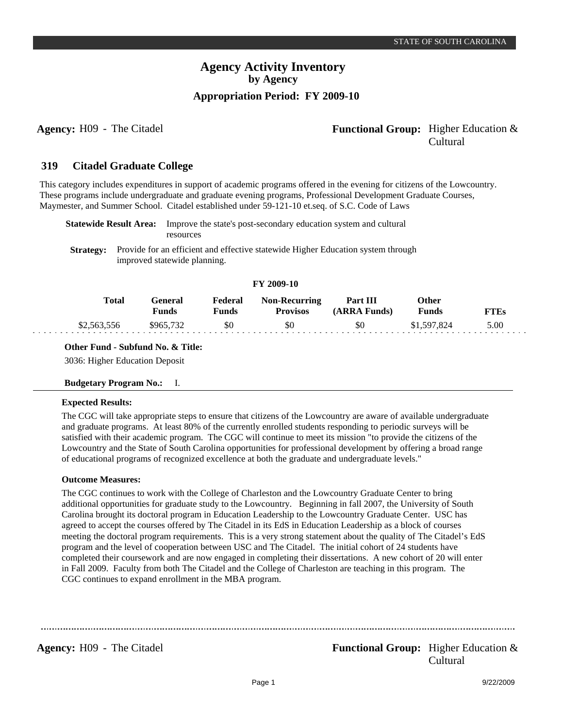## **Agency:** H09 - The Citadel **Functional Group:** Higher Education & Cultural

#### **Citadel Graduate College 319**

This category includes expenditures in support of academic programs offered in the evening for citizens of the Lowcountry. These programs include undergraduate and graduate evening programs, Professional Development Graduate Courses, Maymester, and Summer School. Citadel established under 59-121-10 et.seq. of S.C. Code of Laws

|  | <b>Statewide Result Area:</b> Improve the state's post-secondary education system and cultural                                            |  |  |  |  |  |
|--|-------------------------------------------------------------------------------------------------------------------------------------------|--|--|--|--|--|
|  | resources                                                                                                                                 |  |  |  |  |  |
|  | . $\alpha_{i_1,i_2,\ldots,i_{n-1}}$ . Thus, i.d., $\alpha_{i_1,i_2,\ldots,i_{n-1}}$ is the contracted of the second contracted the second |  |  |  |  |  |

**Strategy:** Provide for an efficient and effective statewide Higher Education system through improved statewide planning.

## **FY 2009-10**

| <b>Total</b> | General<br><b>Funds</b> | Federal<br>Funds | <b>Non-Recurring</b><br><b>Provisos</b> | Part III<br>(ARRA Funds) | Other<br>Funds | FT Es |
|--------------|-------------------------|------------------|-----------------------------------------|--------------------------|----------------|-------|
| \$2,563,556  | \$965,732               | \$0              | \$0                                     | \$0                      | \$1,597,824    | 5.00  |

## **Other Fund - Subfund No. & Title:**

3036: Higher Education Deposit

## **Budgetary Program No.:** I.

## **Expected Results:**

The CGC will take appropriate steps to ensure that citizens of the Lowcountry are aware of available undergraduate and graduate programs. At least 80% of the currently enrolled students responding to periodic surveys will be satisfied with their academic program. The CGC will continue to meet its mission "to provide the citizens of the Lowcountry and the State of South Carolina opportunities for professional development by offering a broad range of educational programs of recognized excellence at both the graduate and undergraduate levels."

## **Outcome Measures:**

The CGC continues to work with the College of Charleston and the Lowcountry Graduate Center to bring additional opportunities for graduate study to the Lowcountry. Beginning in fall 2007, the University of South Carolina brought its doctoral program in Education Leadership to the Lowcountry Graduate Center. USC has agreed to accept the courses offered by The Citadel in its EdS in Education Leadership as a block of courses meeting the doctoral program requirements. This is a very strong statement about the quality of The Citadel's EdS program and the level of cooperation between USC and The Citadel. The initial cohort of 24 students have completed their coursework and are now engaged in completing their dissertations. A new cohort of 20 will enter in Fall 2009. Faculty from both The Citadel and the College of Charleston are teaching in this program. The CGC continues to expand enrollment in the MBA program.

## **Agency:** H09 - The Citadel **Functional Group:** Higher Education & Cultural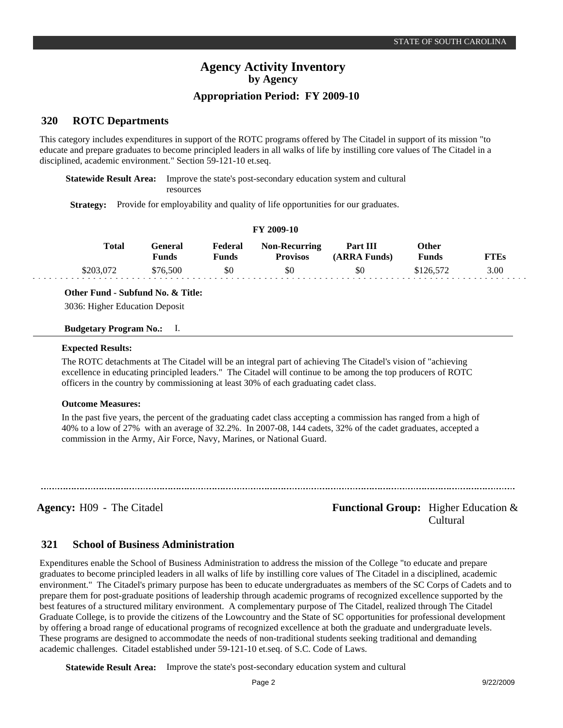#### **ROTC Departments 320**

This category includes expenditures in support of the ROTC programs offered by The Citadel in support of its mission "to educate and prepare graduates to become principled leaders in all walks of life by instilling core values of The Citadel in a disciplined, academic environment." Section 59-121-10 et.seq.

**Statewide Result Area:** Improve the state's post-secondary education system and cultural resources

**Strategy:** Provide for employability and quality of life opportunities for our graduates.

### **FY 2009-10**

| Total     | General<br><b>Funds</b> | Federal<br>Funds | <b>Non-Recurring</b><br><b>Provisos</b> | <b>Part III</b><br>(ARRA Funds) | Other<br>Funds | TTEs |
|-----------|-------------------------|------------------|-----------------------------------------|---------------------------------|----------------|------|
| \$203,072 | \$76,500                | \$0              | \$0                                     | \$0                             | \$126,572      | 3.00 |

**Other Fund - Subfund No. & Title:**

3036: Higher Education Deposit

### **Budgetary Program No.:** I.

## **Expected Results:**

The ROTC detachments at The Citadel will be an integral part of achieving The Citadel's vision of "achieving excellence in educating principled leaders." The Citadel will continue to be among the top producers of ROTC officers in the country by commissioning at least 30% of each graduating cadet class.

### **Outcome Measures:**

In the past five years, the percent of the graduating cadet class accepting a commission has ranged from a high of 40% to a low of 27% with an average of 32.2%. In 2007-08, 144 cadets, 32% of the cadet graduates, accepted a commission in the Army, Air Force, Navy, Marines, or National Guard.

**Agency:** H09 - The Citadel **Functional Group:** Higher Education & Cultural

#### **School of Business Administration 321**

Expenditures enable the School of Business Administration to address the mission of the College "to educate and prepare graduates to become principled leaders in all walks of life by instilling core values of The Citadel in a disciplined, academic environment." The Citadel's primary purpose has been to educate undergraduates as members of the SC Corps of Cadets and to prepare them for post-graduate positions of leadership through academic programs of recognized excellence supported by the best features of a structured military environment. A complementary purpose of The Citadel, realized through The Citadel Graduate College, is to provide the citizens of the Lowcountry and the State of SC opportunities for professional development by offering a broad range of educational programs of recognized excellence at both the graduate and undergraduate levels. These programs are designed to accommodate the needs of non-traditional students seeking traditional and demanding academic challenges. Citadel established under 59-121-10 et.seq. of S.C. Code of Laws.

**Statewide Result Area:** Improve the state's post-secondary education system and cultural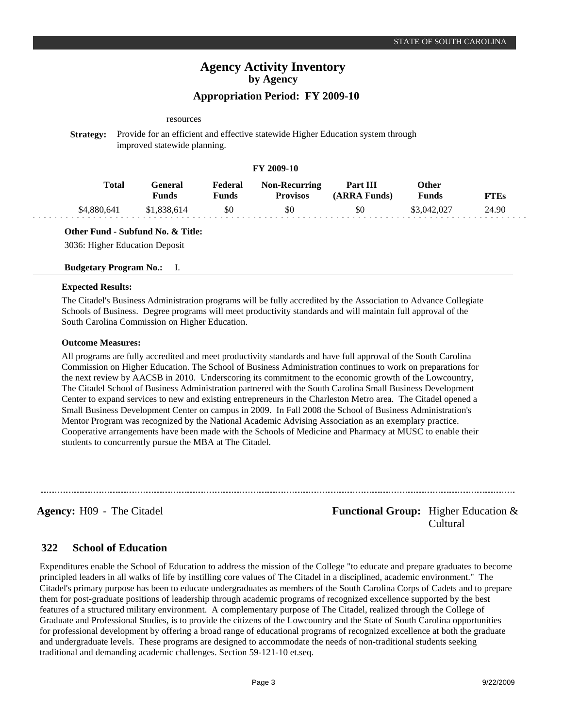## **Appropriation Period: FY 2009-10**

|                  |                                                                                                                  | resources                      |                         |                                         |                          |                              |             |  |  |  |  |
|------------------|------------------------------------------------------------------------------------------------------------------|--------------------------------|-------------------------|-----------------------------------------|--------------------------|------------------------------|-------------|--|--|--|--|
| <b>Strategy:</b> | Provide for an efficient and effective statewide Higher Education system through<br>improved statewide planning. |                                |                         |                                         |                          |                              |             |  |  |  |  |
|                  |                                                                                                                  |                                |                         | FY 2009-10                              |                          |                              |             |  |  |  |  |
|                  | <b>Total</b>                                                                                                     | <b>General</b><br><b>Funds</b> | Federal<br><b>Funds</b> | <b>Non-Recurring</b><br><b>Provisos</b> | Part III<br>(ARRA Funds) | <b>Other</b><br><b>Funds</b> | <b>FTEs</b> |  |  |  |  |
| \$4,880,641      |                                                                                                                  | \$1,838,614                    | \$0                     | \$0                                     | \$0                      | \$3,042,027                  | 24.90       |  |  |  |  |

**Other Fund - Subfund No. & Title:**

3036: Higher Education Deposit

### **Budgetary Program No.:** I.

#### **Expected Results:**

The Citadel's Business Administration programs will be fully accredited by the Association to Advance Collegiate Schools of Business. Degree programs will meet productivity standards and will maintain full approval of the South Carolina Commission on Higher Education.

### **Outcome Measures:**

All programs are fully accredited and meet productivity standards and have full approval of the South Carolina Commission on Higher Education. The School of Business Administration continues to work on preparations for the next review by AACSB in 2010. Underscoring its commitment to the economic growth of the Lowcountry, The Citadel School of Business Administration partnered with the South Carolina Small Business Development Center to expand services to new and existing entrepreneurs in the Charleston Metro area. The Citadel opened a Small Business Development Center on campus in 2009. In Fall 2008 the School of Business Administration's Mentor Program was recognized by the National Academic Advising Association as an exemplary practice. Cooperative arrangements have been made with the Schools of Medicine and Pharmacy at MUSC to enable their students to concurrently pursue the MBA at The Citadel.

**Agency:** H09 - The Citadel **Functional Group:** Higher Education & Cultural

#### **School of Education 322**

Expenditures enable the School of Education to address the mission of the College "to educate and prepare graduates to become principled leaders in all walks of life by instilling core values of The Citadel in a disciplined, academic environment." The Citadel's primary purpose has been to educate undergraduates as members of the South Carolina Corps of Cadets and to prepare them for post-graduate positions of leadership through academic programs of recognized excellence supported by the best features of a structured military environment. A complementary purpose of The Citadel, realized through the College of Graduate and Professional Studies, is to provide the citizens of the Lowcountry and the State of South Carolina opportunities for professional development by offering a broad range of educational programs of recognized excellence at both the graduate and undergraduate levels. These programs are designed to accommodate the needs of non-traditional students seeking traditional and demanding academic challenges. Section 59-121-10 et.seq.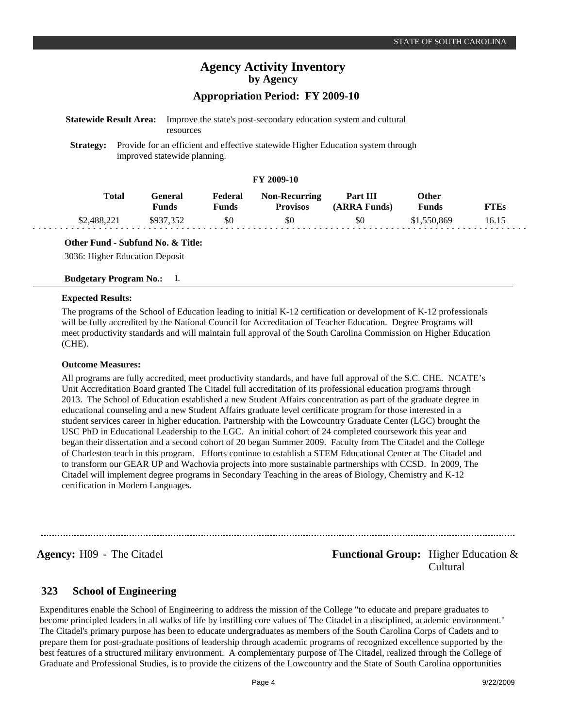**FTEs** 16.15

# **Agency Activity Inventory by Agency**

## **Appropriation Period: FY 2009-10**

| <b>Statewide Result Area:</b>                                                                                                        |              | resources               |                         | Improve the state's post-secondary education system and cultural |                          |                              |  |  |  |  |
|--------------------------------------------------------------------------------------------------------------------------------------|--------------|-------------------------|-------------------------|------------------------------------------------------------------|--------------------------|------------------------------|--|--|--|--|
| Provide for an efficient and effective statewide Higher Education system through<br><b>Strategy:</b><br>improved statewide planning. |              |                         |                         |                                                                  |                          |                              |  |  |  |  |
|                                                                                                                                      |              |                         |                         | FY 2009-10                                                       |                          |                              |  |  |  |  |
|                                                                                                                                      | <b>Total</b> | General<br><b>Funds</b> | Federal<br><b>Funds</b> | <b>Non-Recurring</b><br><b>Provisos</b>                          | Part III<br>(ARRA Funds) | <b>Other</b><br><b>Funds</b> |  |  |  |  |
| \$2,488,221                                                                                                                          |              | \$937.352               | \$0                     | \$0                                                              | \$0                      | \$1,550,869                  |  |  |  |  |

## **Other Fund - Subfund No. & Title:**

3036: Higher Education Deposit

## **Budgetary Program No.:** I.

## **Expected Results:**

The programs of the School of Education leading to initial K-12 certification or development of K-12 professionals will be fully accredited by the National Council for Accreditation of Teacher Education. Degree Programs will meet productivity standards and will maintain full approval of the South Carolina Commission on Higher Education (CHE).

### **Outcome Measures:**

All programs are fully accredited, meet productivity standards, and have full approval of the S.C. CHE. NCATE's Unit Accreditation Board granted The Citadel full accreditation of its professional education programs through 2013. The School of Education established a new Student Affairs concentration as part of the graduate degree in educational counseling and a new Student Affairs graduate level certificate program for those interested in a student services career in higher education. Partnership with the Lowcountry Graduate Center (LGC) brought the USC PhD in Educational Leadership to the LGC. An initial cohort of 24 completed coursework this year and began their dissertation and a second cohort of 20 began Summer 2009. Faculty from The Citadel and the College of Charleston teach in this program. Efforts continue to establish a STEM Educational Center at The Citadel and to transform our GEAR UP and Wachovia projects into more sustainable partnerships with CCSD. In 2009, The Citadel will implement degree programs in Secondary Teaching in the areas of Biology, Chemistry and K-12 certification in Modern Languages.

## **Agency:** H09 - The Citadel **Functional Group:** Functional Group: Higher Education & Cultural

------------------------------

#### **School of Engineering 323**

Expenditures enable the School of Engineering to address the mission of the College "to educate and prepare graduates to become principled leaders in all walks of life by instilling core values of The Citadel in a disciplined, academic environment." The Citadel's primary purpose has been to educate undergraduates as members of the South Carolina Corps of Cadets and to prepare them for post-graduate positions of leadership through academic programs of recognized excellence supported by the best features of a structured military environment. A complementary purpose of The Citadel, realized through the College of Graduate and Professional Studies, is to provide the citizens of the Lowcountry and the State of South Carolina opportunities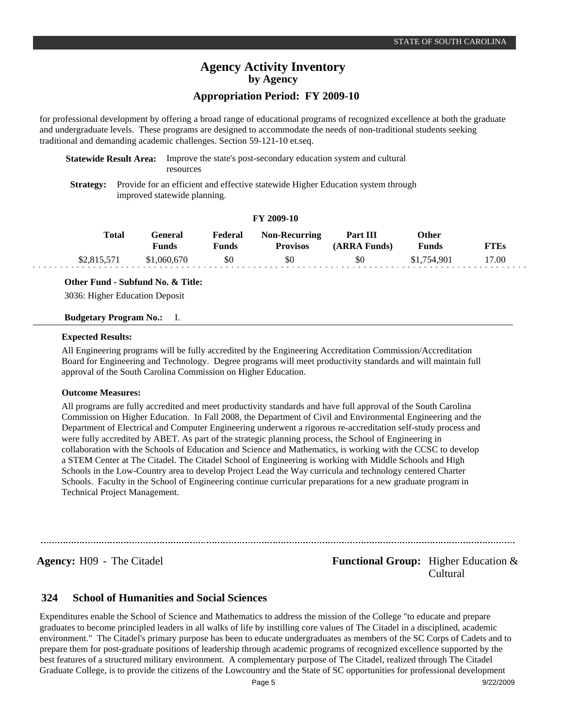## **Appropriation Period: FY 2009-10**

for professional development by offering a broad range of educational programs of recognized excellence at both the graduate and undergraduate levels. These programs are designed to accommodate the needs of non-traditional students seeking traditional and demanding academic challenges. Section 59-121-10 et.seq.

**Statewide Result Area:** Improve the state's post-secondary education system and cultural resources

**Strategy:** Provide for an efficient and effective statewide Higher Education system through improved statewide planning.

## **FY 2009-10**

| Total       | General<br>Funds | Federal<br>Funds | <b>Non-Recurring</b><br><b>Provisos</b> | Part III<br>(ARRA Funds) | Other<br>Funds | FTEs  |
|-------------|------------------|------------------|-----------------------------------------|--------------------------|----------------|-------|
| \$2,815,571 | \$1,060,670      | \$0              | \$0                                     | \$0                      | \$1,754,901    | 17.00 |

**Other Fund - Subfund No. & Title:**

3036: Higher Education Deposit

## **Budgetary Program No.:** I.

## **Expected Results:**

All Engineering programs will be fully accredited by the Engineering Accreditation Commission/Accreditation Board for Engineering and Technology. Degree programs will meet productivity standards and will maintain full approval of the South Carolina Commission on Higher Education.

## **Outcome Measures:**

All programs are fully accredited and meet productivity standards and have full approval of the South Carolina Commission on Higher Education. In Fall 2008, the Department of Civil and Environmental Engineering and the Department of Electrical and Computer Engineering underwent a rigorous re-accreditation self-study process and were fully accredited by ABET. As part of the strategic planning process, the School of Engineering in collaboration with the Schools of Education and Science and Mathematics, is working with the CCSC to develop a STEM Center at The Citadel. The Citadel School of Engineering is working with Middle Schools and High Schools in the Low-Country area to develop Project Lead the Way curricula and technology centered Charter Schools. Faculty in the School of Engineering continue curricular preparations for a new graduate program in Technical Project Management.

**Agency:** H09 - The Citadel **Functional Group:** Higher Education & Cultural

#### **School of Humanities and Social Sciences 324**

Expenditures enable the School of Science and Mathematics to address the mission of the College "to educate and prepare graduates to become principled leaders in all walks of life by instilling core values of The Citadel in a disciplined, academic environment." The Citadel's primary purpose has been to educate undergraduates as members of the SC Corps of Cadets and to prepare them for post-graduate positions of leadership through academic programs of recognized excellence supported by the best features of a structured military environment. A complementary purpose of The Citadel, realized through The Citadel Graduate College, is to provide the citizens of the Lowcountry and the State of SC opportunities for professional development

Page 5 9/22/2009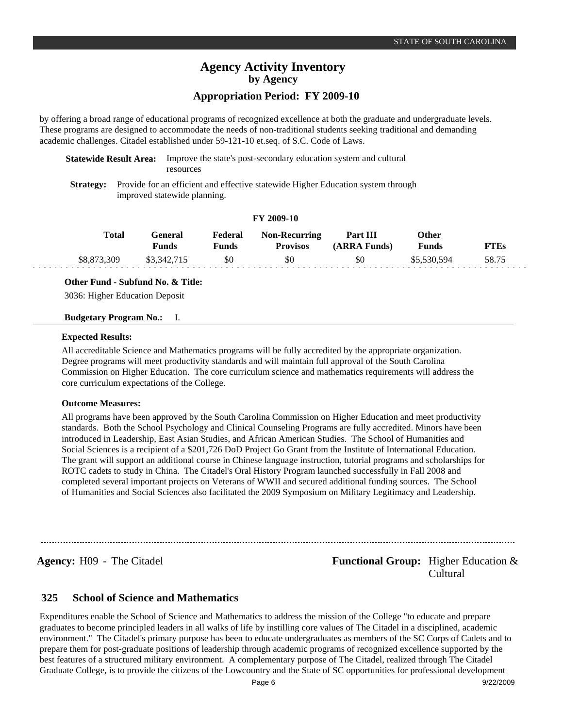## **Appropriation Period: FY 2009-10**

by offering a broad range of educational programs of recognized excellence at both the graduate and undergraduate levels. These programs are designed to accommodate the needs of non-traditional students seeking traditional and demanding academic challenges. Citadel established under 59-121-10 et.seq. of S.C. Code of Laws.

**Statewide Result Area:** Improve the state's post-secondary education system and cultural resources

**Strategy:** Provide for an efficient and effective statewide Higher Education system through improved statewide planning.

## **FY 2009-10**

| Total       | General<br>Funds | Federal<br>Funds | <b>Non-Recurring</b><br><b>Provisos</b> | Part III<br>(ARRA Funds) | <b>Other</b><br>Funds | <b>FTEs</b> |
|-------------|------------------|------------------|-----------------------------------------|--------------------------|-----------------------|-------------|
| \$8,873,309 | \$3,342,715      | \$0              | \$0                                     | \$0                      | \$5,530,594           | 58.75       |

**Other Fund - Subfund No. & Title:**

3036: Higher Education Deposit

## **Budgetary Program No.:** I.

#### **Expected Results:**

All accreditable Science and Mathematics programs will be fully accredited by the appropriate organization. Degree programs will meet productivity standards and will maintain full approval of the South Carolina Commission on Higher Education. The core curriculum science and mathematics requirements will address the core curriculum expectations of the College.

## **Outcome Measures:**

All programs have been approved by the South Carolina Commission on Higher Education and meet productivity standards. Both the School Psychology and Clinical Counseling Programs are fully accredited. Minors have been introduced in Leadership, East Asian Studies, and African American Studies. The School of Humanities and Social Sciences is a recipient of a \$201,726 DoD Project Go Grant from the Institute of International Education. The grant will support an additional course in Chinese language instruction, tutorial programs and scholarships for ROTC cadets to study in China. The Citadel's Oral History Program launched successfully in Fall 2008 and completed several important projects on Veterans of WWII and secured additional funding sources. The School of Humanities and Social Sciences also facilitated the 2009 Symposium on Military Legitimacy and Leadership.

**Agency:** H09 - The Citadel **Functional Group:** Higher Education & Cultural

#### **School of Science and Mathematics 325**

Expenditures enable the School of Science and Mathematics to address the mission of the College "to educate and prepare graduates to become principled leaders in all walks of life by instilling core values of The Citadel in a disciplined, academic environment." The Citadel's primary purpose has been to educate undergraduates as members of the SC Corps of Cadets and to prepare them for post-graduate positions of leadership through academic programs of recognized excellence supported by the best features of a structured military environment. A complementary purpose of The Citadel, realized through The Citadel Graduate College, is to provide the citizens of the Lowcountry and the State of SC opportunities for professional development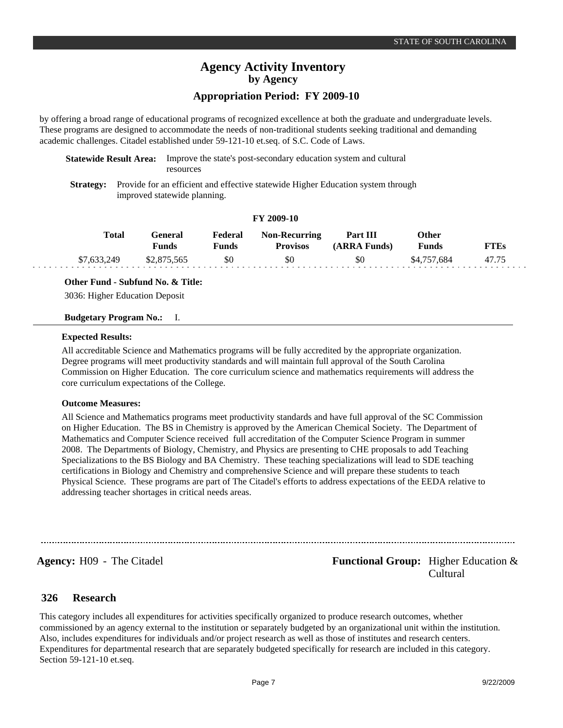## **Appropriation Period: FY 2009-10**

by offering a broad range of educational programs of recognized excellence at both the graduate and undergraduate levels. These programs are designed to accommodate the needs of non-traditional students seeking traditional and demanding academic challenges. Citadel established under 59-121-10 et.seq. of S.C. Code of Laws.

**Statewide Result Area:** Improve the state's post-secondary education system and cultural resources

**Strategy:** Provide for an efficient and effective statewide Higher Education system through improved statewide planning.

## **FY 2009-10**

|             | Total | General<br><b>Funds</b> | Federal<br><b>Funds</b> | <b>Non-Recurring</b><br><b>Provisos</b> | Part III<br>(ARRA Funds) | Other<br>Funds | <b>FTEs</b> |
|-------------|-------|-------------------------|-------------------------|-----------------------------------------|--------------------------|----------------|-------------|
| \$7,633,249 |       | \$2,875,565             | \$0                     | \$0                                     | \$0                      | \$4,757,684    | 47.75       |

**Other Fund - Subfund No. & Title:**

3036: Higher Education Deposit

## **Budgetary Program No.:** I.

## **Expected Results:**

All accreditable Science and Mathematics programs will be fully accredited by the appropriate organization. Degree programs will meet productivity standards and will maintain full approval of the South Carolina Commission on Higher Education. The core curriculum science and mathematics requirements will address the core curriculum expectations of the College.

## **Outcome Measures:**

All Science and Mathematics programs meet productivity standards and have full approval of the SC Commission on Higher Education. The BS in Chemistry is approved by the American Chemical Society. The Department of Mathematics and Computer Science received full accreditation of the Computer Science Program in summer 2008. The Departments of Biology, Chemistry, and Physics are presenting to CHE proposals to add Teaching Specializations to the BS Biology and BA Chemistry. These teaching specializations will lead to SDE teaching certifications in Biology and Chemistry and comprehensive Science and will prepare these students to teach Physical Science. These programs are part of The Citadel's efforts to address expectations of the EEDA relative to addressing teacher shortages in critical needs areas.

**Agency:** H09 - The Citadel **Functional Group:** Higher Education & Cultural

#### **Research 326**

This category includes all expenditures for activities specifically organized to produce research outcomes, whether commissioned by an agency external to the institution or separately budgeted by an organizational unit within the institution. Also, includes expenditures for individuals and/or project research as well as those of institutes and research centers. Expenditures for departmental research that are separately budgeted specifically for research are included in this category. Section 59-121-10 et.seq.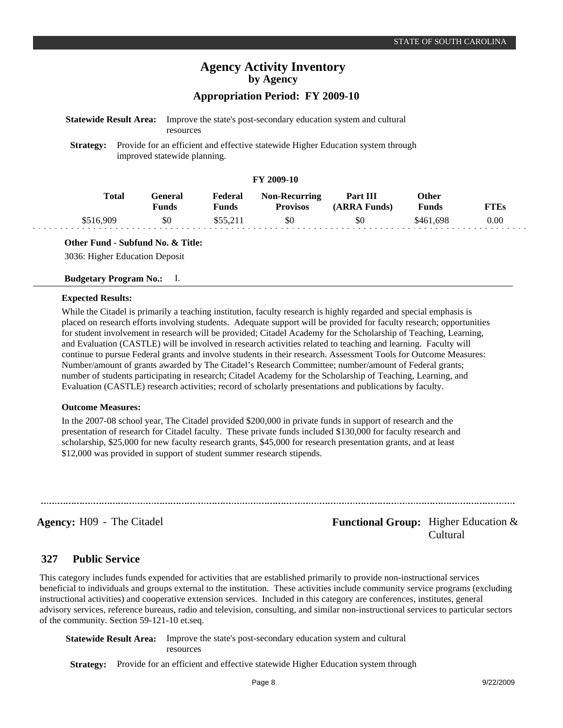**Funds** \$461,698

**(ARRA Funds)** \$0

**FTEs** 0.00

## **Agency Activity Inventory by Agency Appropriation Period: FY 2009-10**

| <b>Statewide Result Area:</b>                                                                                                        |       | resources |         | Improve the state's post-secondary education system and cultural |          |       |  |  |
|--------------------------------------------------------------------------------------------------------------------------------------|-------|-----------|---------|------------------------------------------------------------------|----------|-------|--|--|
| Provide for an efficient and effective statewide Higher Education system through<br><b>Strategy:</b><br>improved statewide planning. |       |           |         |                                                                  |          |       |  |  |
| FY 2009-10                                                                                                                           |       |           |         |                                                                  |          |       |  |  |
|                                                                                                                                      | Total | General   | Federal | <b>Non-Recurring</b>                                             | Part III | Other |  |  |

**Provisos** \$0

**Funds**  \$55,211

## **Other Fund - Subfund No. & Title:**

**Funds**  \$0

3036: Higher Education Deposit

#### **Budgetary Program No.:** I.

### **Expected Results:**

\$516,909

While the Citadel is primarily a teaching institution, faculty research is highly regarded and special emphasis is placed on research efforts involving students. Adequate support will be provided for faculty research; opportunities for student involvement in research will be provided; Citadel Academy for the Scholarship of Teaching, Learning, and Evaluation (CASTLE) will be involved in research activities related to teaching and learning. Faculty will continue to pursue Federal grants and involve students in their research. Assessment Tools for Outcome Measures: Number/amount of grants awarded by The Citadel's Research Committee; number/amount of Federal grants; number of students participating in research; Citadel Academy for the Scholarship of Teaching, Learning, and Evaluation (CASTLE) research activities; record of scholarly presentations and publications by faculty.

#### **Outcome Measures:**

In the 2007-08 school year, The Citadel provided \$200,000 in private funds in support of research and the presentation of research for Citadel faculty. These private funds included \$130,000 for faculty research and scholarship, \$25,000 for new faculty research grants, \$45,000 for research presentation grants, and at least \$12,000 was provided in support of student summer research stipends.

**Agency:** H09 - The Citadel **Functional Group:** Higher Education & Cultural

#### **Public Service 327**

This category includes funds expended for activities that are established primarily to provide non-instructional services beneficial to individuals and groups external to the institution. These activities include community service programs (excluding instructional activities) and cooperative extension services. Included in this category are conferences, institutes, general advisory services, reference bureaus, radio and television, consulting, and similar non-instructional services to particular sectors of the community. Section 59-121-10 et.seq.

**Statewide Result Area:** Improve the state's post-secondary education system and cultural resources

**Strategy:** Provide for an efficient and effective statewide Higher Education system through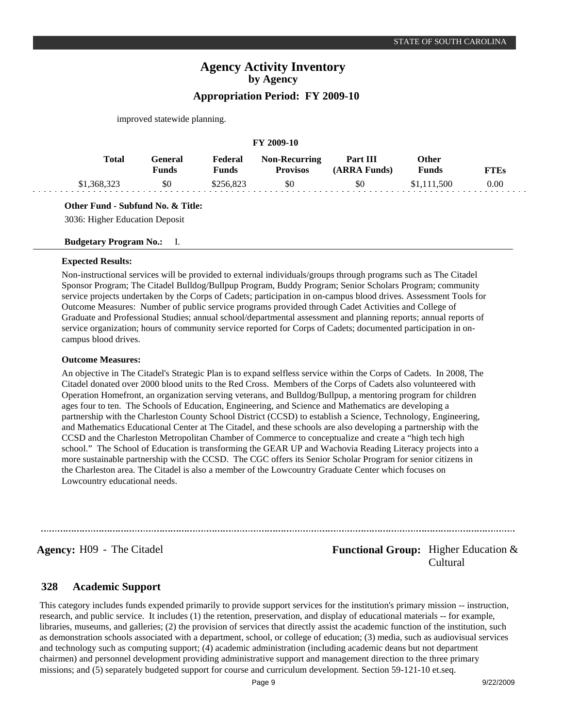improved statewide planning.

| <b>FY 2009-10</b> |              |                  |                  |                                         |                          |                              |             |  |  |
|-------------------|--------------|------------------|------------------|-----------------------------------------|--------------------------|------------------------------|-------------|--|--|
|                   | <b>Total</b> | General<br>Funds | Federal<br>Funds | <b>Non-Recurring</b><br><b>Provisos</b> | Part III<br>(ARRA Funds) | <b>Other</b><br><b>Funds</b> | <b>FTEs</b> |  |  |
| \$1,368,323       |              | \$0              | \$256,823        | \$0                                     | \$0                      | \$1,111,500                  | 0.00        |  |  |

**Other Fund - Subfund No. & Title:**

3036: Higher Education Deposit

**Budgetary Program No.:** I.

#### **Expected Results:**

Non-instructional services will be provided to external individuals/groups through programs such as The Citadel Sponsor Program; The Citadel Bulldog/Bullpup Program, Buddy Program; Senior Scholars Program; community service projects undertaken by the Corps of Cadets; participation in on-campus blood drives. Assessment Tools for Outcome Measures: Number of public service programs provided through Cadet Activities and College of Graduate and Professional Studies; annual school/departmental assessment and planning reports; annual reports of service organization; hours of community service reported for Corps of Cadets; documented participation in oncampus blood drives.

## **Outcome Measures:**

An objective in The Citadel's Strategic Plan is to expand selfless service within the Corps of Cadets. In 2008, The Citadel donated over 2000 blood units to the Red Cross. Members of the Corps of Cadets also volunteered with Operation Homefront, an organization serving veterans, and Bulldog/Bullpup, a mentoring program for children ages four to ten. The Schools of Education, Engineering, and Science and Mathematics are developing a partnership with the Charleston County School District (CCSD) to establish a Science, Technology, Engineering, and Mathematics Educational Center at The Citadel, and these schools are also developing a partnership with the CCSD and the Charleston Metropolitan Chamber of Commerce to conceptualize and create a "high tech high school." The School of Education is transforming the GEAR UP and Wachovia Reading Literacy projects into a more sustainable partnership with the CCSD. The CGC offers its Senior Scholar Program for senior citizens in the Charleston area. The Citadel is also a member of the Lowcountry Graduate Center which focuses on Lowcountry educational needs.

**Agency:** H09 - The Citadel **Functional Group:** Higher Education & Cultural

#### **Academic Support 328**

This category includes funds expended primarily to provide support services for the institution's primary mission -- instruction, research, and public service. It includes (1) the retention, preservation, and display of educational materials -- for example, libraries, museums, and galleries; (2) the provision of services that directly assist the academic function of the institution, such as demonstration schools associated with a department, school, or college of education; (3) media, such as audiovisual services and technology such as computing support; (4) academic administration (including academic deans but not department chairmen) and personnel development providing administrative support and management direction to the three primary missions; and (5) separately budgeted support for course and curriculum development. Section 59-121-10 et.seq.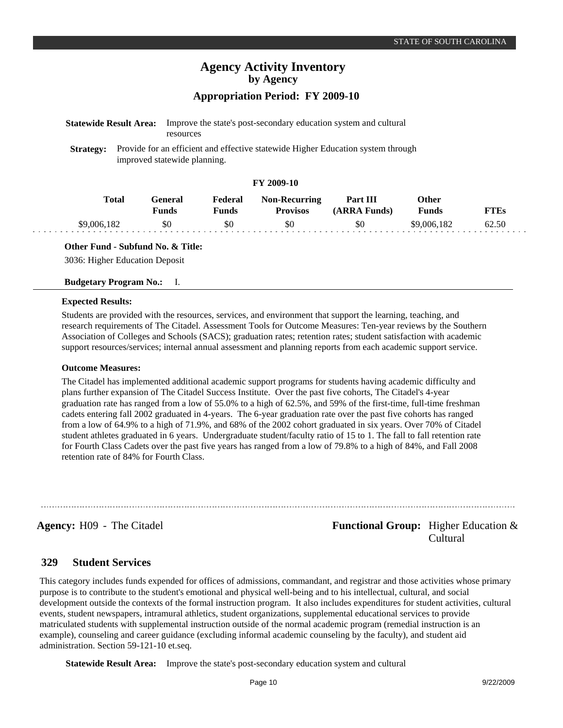|                  | <b>Statewide Result Area:</b> | Improve the state's post-secondary education system and cultural<br>resources                                    |
|------------------|-------------------------------|------------------------------------------------------------------------------------------------------------------|
| <b>Strategy:</b> |                               | Provide for an efficient and effective statewide Higher Education system through<br>improved statewide planning. |
|                  |                               | FY 2009-10                                                                                                       |

| Total       | General<br><b>Funds</b> | Federal<br><b>Funds</b> | <b>Non-Recurring</b><br><b>Provisos</b> | Part III<br>(ARRA Funds) | Other<br><b>Funds</b> | <b>FTEs</b> |
|-------------|-------------------------|-------------------------|-----------------------------------------|--------------------------|-----------------------|-------------|
| \$9,006,182 | \$0                     | \$0                     | \$0                                     | \$0                      | \$9,006,182           | 62.50       |

**Other Fund - Subfund No. & Title:**

3036: Higher Education Deposit

**Budgetary Program No.:** I.

## **Expected Results:**

Students are provided with the resources, services, and environment that support the learning, teaching, and research requirements of The Citadel. Assessment Tools for Outcome Measures: Ten-year reviews by the Southern Association of Colleges and Schools (SACS); graduation rates; retention rates; student satisfaction with academic support resources/services; internal annual assessment and planning reports from each academic support service.

### **Outcome Measures:**

The Citadel has implemented additional academic support programs for students having academic difficulty and plans further expansion of The Citadel Success Institute. Over the past five cohorts, The Citadel's 4-year graduation rate has ranged from a low of 55.0% to a high of 62.5%, and 59% of the first-time, full-time freshman cadets entering fall 2002 graduated in 4-years. The 6-year graduation rate over the past five cohorts has ranged from a low of 64.9% to a high of 71.9%, and 68% of the 2002 cohort graduated in six years. Over 70% of Citadel student athletes graduated in 6 years. Undergraduate student/faculty ratio of 15 to 1. The fall to fall retention rate for Fourth Class Cadets over the past five years has ranged from a low of 79.8% to a high of 84%, and Fall 2008 retention rate of 84% for Fourth Class.

**Agency:** H09 - The Citadel **Functional Group:** Higher Education & Cultural

#### **Student Services 329**

This category includes funds expended for offices of admissions, commandant, and registrar and those activities whose primary purpose is to contribute to the student's emotional and physical well-being and to his intellectual, cultural, and social development outside the contexts of the formal instruction program. It also includes expenditures for student activities, cultural events, student newspapers, intramural athletics, student organizations, supplemental educational services to provide matriculated students with supplemental instruction outside of the normal academic program (remedial instruction is an example), counseling and career guidance (excluding informal academic counseling by the faculty), and student aid administration. Section 59-121-10 et.seq.

**Statewide Result Area:** Improve the state's post-secondary education system and cultural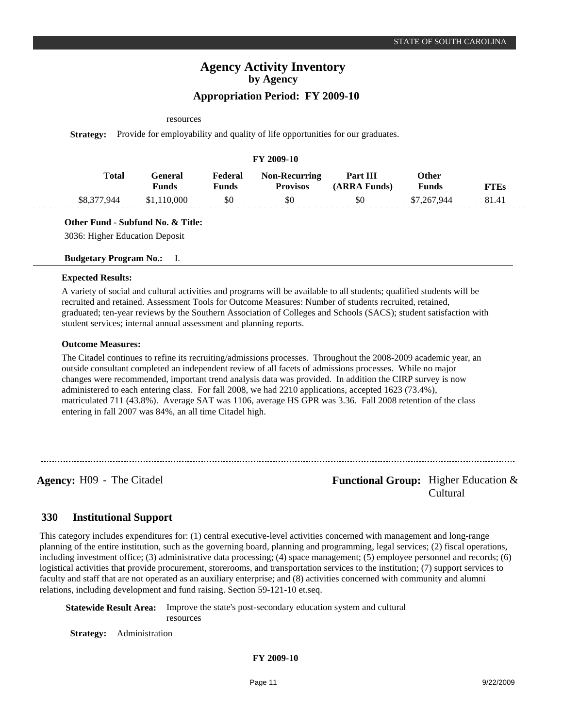#### resources

**Strategy:** Provide for employability and quality of life opportunities for our graduates.

| <b>FY 2009-10</b> |                         |                         |                                         |                          |                       |             |  |  |  |  |
|-------------------|-------------------------|-------------------------|-----------------------------------------|--------------------------|-----------------------|-------------|--|--|--|--|
| Total             | General<br><b>Funds</b> | Federal<br><b>Funds</b> | <b>Non-Recurring</b><br><b>Provisos</b> | Part III<br>(ARRA Funds) | Other<br><b>Funds</b> | <b>FTEs</b> |  |  |  |  |
| \$8,377,944       | \$1,110,000             | \$0                     | \$0                                     | \$0                      | \$7,267,944           | 81.41       |  |  |  |  |

## **Other Fund - Subfund No. & Title:**

3036: Higher Education Deposit

### **Budgetary Program No.:** I.

#### **Expected Results:**

A variety of social and cultural activities and programs will be available to all students; qualified students will be recruited and retained. Assessment Tools for Outcome Measures: Number of students recruited, retained, graduated; ten-year reviews by the Southern Association of Colleges and Schools (SACS); student satisfaction with student services; internal annual assessment and planning reports.

### **Outcome Measures:**

The Citadel continues to refine its recruiting/admissions processes. Throughout the 2008-2009 academic year, an outside consultant completed an independent review of all facets of admissions processes. While no major changes were recommended, important trend analysis data was provided. In addition the CIRP survey is now administered to each entering class. For fall 2008, we had 2210 applications, accepted 1623 (73.4%), matriculated 711 (43.8%). Average SAT was 1106, average HS GPR was 3.36. Fall 2008 retention of the class entering in fall 2007 was 84%, an all time Citadel high.

**Agency:** H09 - The Citadel **Functional Group:** Higher Education & Cultural

#### **Institutional Support 330**

This category includes expenditures for: (1) central executive-level activities concerned with management and long-range planning of the entire institution, such as the governing board, planning and programming, legal services; (2) fiscal operations, including investment office; (3) administrative data processing; (4) space management; (5) employee personnel and records; (6) logistical activities that provide procurement, storerooms, and transportation services to the institution; (7) support services to faculty and staff that are not operated as an auxiliary enterprise; and (8) activities concerned with community and alumni relations, including development and fund raising. Section 59-121-10 et.seq.

**Statewide Result Area:** Improve the state's post-secondary education system and cultural resources

**Strategy:** Administration

**FY 2009-10**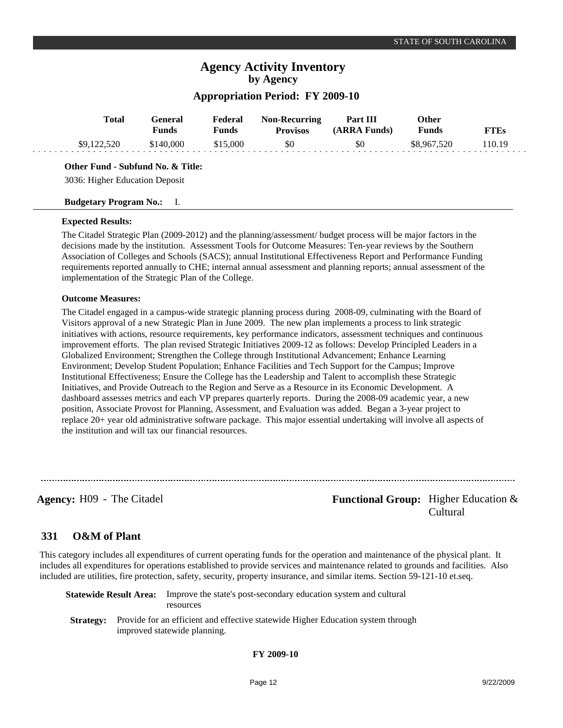## **Appropriation Period: FY 2009-10**

| Total                                                                                                                                                                                                                                                                                                                | General<br>Funds | Federal<br><b>Funds</b> | <b>Non-Recurring</b><br><b>Provisos</b> | Part III<br>(ARRA Funds) | Other<br>Funds | <b>FTEs</b> |
|----------------------------------------------------------------------------------------------------------------------------------------------------------------------------------------------------------------------------------------------------------------------------------------------------------------------|------------------|-------------------------|-----------------------------------------|--------------------------|----------------|-------------|
| \$9,122,520                                                                                                                                                                                                                                                                                                          | \$140,000        | \$15,000                | \$0                                     | \$0                      | \$8,967,520    | 110.19      |
| $O(1, \ldots E_{n-1} - 1 - C_{n-1} E_{n-1} - 1 - C_{n-1} E_{n-1} - C_{n-1} E_{n-1} - C_{n-1} E_{n-1} - C_{n-1} E_{n-1} - C_{n-1} E_{n-1} - C_{n-1} E_{n-1} - C_{n-1} E_{n-1} - C_{n-1} E_{n-1} - C_{n-1} E_{n-1} - C_{n-1} E_{n-1} - C_{n-1} E_{n-1} - C_{n-1} E_{n-1} - C_{n-1} E_{n-1} - C_{n-1} E_{n-1} - C_{n-1$ |                  |                         |                                         |                          |                |             |

**Other Fund - Subfund No. & Title:**

3036: Higher Education Deposit

## **Budgetary Program No.:** I.

## **Expected Results:**

The Citadel Strategic Plan (2009-2012) and the planning/assessment/ budget process will be major factors in the decisions made by the institution. Assessment Tools for Outcome Measures: Ten-year reviews by the Southern Association of Colleges and Schools (SACS); annual Institutional Effectiveness Report and Performance Funding requirements reported annually to CHE; internal annual assessment and planning reports; annual assessment of the implementation of the Strategic Plan of the College.

## **Outcome Measures:**

The Citadel engaged in a campus-wide strategic planning process during 2008-09, culminating with the Board of Visitors approval of a new Strategic Plan in June 2009. The new plan implements a process to link strategic initiatives with actions, resource requirements, key performance indicators, assessment techniques and continuous improvement efforts. The plan revised Strategic Initiatives 2009-12 as follows: Develop Principled Leaders in a Globalized Environment; Strengthen the College through Institutional Advancement; Enhance Learning Environment; Develop Student Population; Enhance Facilities and Tech Support for the Campus; Improve Institutional Effectiveness; Ensure the College has the Leadership and Talent to accomplish these Strategic Initiatives, and Provide Outreach to the Region and Serve as a Resource in its Economic Development. A dashboard assesses metrics and each VP prepares quarterly reports. During the 2008-09 academic year, a new position, Associate Provost for Planning, Assessment, and Evaluation was added. Began a 3-year project to replace 20+ year old administrative software package. This major essential undertaking will involve all aspects of the institution and will tax our financial resources.

**Agency:** H09 - The Citadel **Functional Group:** Higher Education & Cultural

#### **O&M of Plant 331**

This category includes all expenditures of current operating funds for the operation and maintenance of the physical plant. It includes all expenditures for operations established to provide services and maintenance related to grounds and facilities. Also included are utilities, fire protection, safety, security, property insurance, and similar items. Section 59-121-10 et.seq.

**Statewide Result Area:** Improve the state's post-secondary education system and cultural resources

**Strategy:** Provide for an efficient and effective statewide Higher Education system through improved statewide planning.

### **FY 2009-10**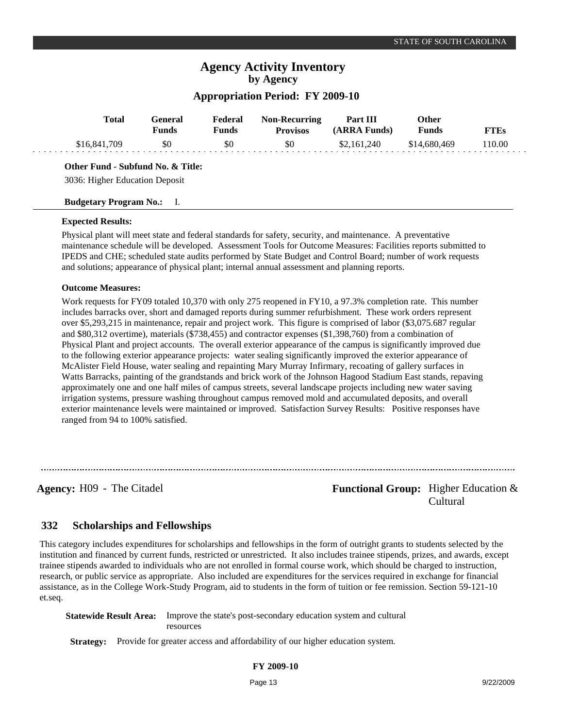## **Appropriation Period: FY 2009-10**

| Total        | General<br><b>Funds</b> | Federal<br><b>Funds</b> | <b>Non-Recurring</b><br><b>Provisos</b> | Part III<br>(ARRA Funds) | <b>Other</b><br><b>Funds</b> | <b>FTEs</b> |
|--------------|-------------------------|-------------------------|-----------------------------------------|--------------------------|------------------------------|-------------|
| \$16,841,709 | \$0                     | \$0                     | \$0                                     | \$2,161,240              | \$14,680,469                 | 110.00      |
|              |                         |                         |                                         |                          |                              |             |

**Other Fund - Subfund No. & Title:**

3036: Higher Education Deposit

## **Budgetary Program No.:** I.

## **Expected Results:**

Physical plant will meet state and federal standards for safety, security, and maintenance. A preventative maintenance schedule will be developed. Assessment Tools for Outcome Measures: Facilities reports submitted to IPEDS and CHE; scheduled state audits performed by State Budget and Control Board; number of work requests and solutions; appearance of physical plant; internal annual assessment and planning reports.

## **Outcome Measures:**

Work requests for FY09 totaled 10,370 with only 275 reopened in FY10, a 97.3% completion rate. This number includes barracks over, short and damaged reports during summer refurbishment. These work orders represent over \$5,293,215 in maintenance, repair and project work. This figure is comprised of labor (\$3,075.687 regular and \$80,312 overtime), materials (\$738,455) and contractor expenses (\$1,398,760) from a combination of Physical Plant and project accounts. The overall exterior appearance of the campus is significantly improved due to the following exterior appearance projects: water sealing significantly improved the exterior appearance of McAlister Field House, water sealing and repainting Mary Murray Infirmary, recoating of gallery surfaces in Watts Barracks, painting of the grandstands and brick work of the Johnson Hagood Stadium East stands, repaving approximately one and one half miles of campus streets, several landscape projects including new water saving irrigation systems, pressure washing throughout campus removed mold and accumulated deposits, and overall exterior maintenance levels were maintained or improved. Satisfaction Survey Results: Positive responses have ranged from 94 to 100% satisfied.

## **Agency:** H09 - The Citadel **Functional Group:** Higher Education & Cultural

#### **Scholarships and Fellowships 332**

This category includes expenditures for scholarships and fellowships in the form of outright grants to students selected by the institution and financed by current funds, restricted or unrestricted. It also includes trainee stipends, prizes, and awards, except trainee stipends awarded to individuals who are not enrolled in formal course work, which should be charged to instruction, research, or public service as appropriate. Also included are expenditures for the services required in exchange for financial assistance, as in the College Work-Study Program, aid to students in the form of tuition or fee remission. Section 59-121-10 et.seq.

**Statewide Result Area:** Improve the state's post-secondary education system and cultural resources

**Strategy:** Provide for greater access and affordability of our higher education system.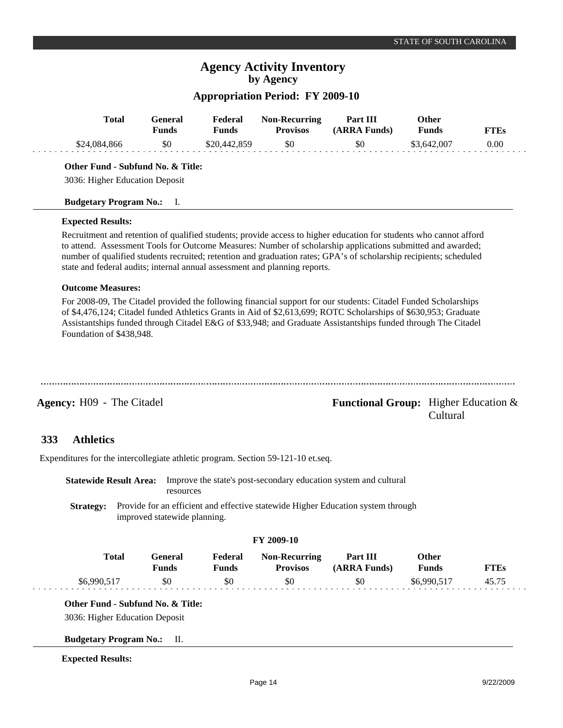## **Appropriation Period: FY 2009-10**

| <b>Total</b>                                                                                                                                                                                                                                                                                                                                                                                                                          | <b>General</b><br><b>Funds</b> | Federal<br><b>Funds</b> | <b>Non-Recurring</b><br><b>Provisos</b> | Part III<br>(ARRA Funds)                                                         | Other<br><b>Funds</b> | <b>FTEs</b> |
|---------------------------------------------------------------------------------------------------------------------------------------------------------------------------------------------------------------------------------------------------------------------------------------------------------------------------------------------------------------------------------------------------------------------------------------|--------------------------------|-------------------------|-----------------------------------------|----------------------------------------------------------------------------------|-----------------------|-------------|
| \$24,084,866                                                                                                                                                                                                                                                                                                                                                                                                                          | \$0                            | \$20,442,859            | \$0                                     | \$0                                                                              | \$3,642,007           | 0.00        |
| Other Fund - Subfund No. & Title:<br>3036: Higher Education Deposit<br><b>Budgetary Program No.:</b>                                                                                                                                                                                                                                                                                                                                  | Ι.                             |                         |                                         |                                                                                  |                       |             |
| <b>Expected Results:</b>                                                                                                                                                                                                                                                                                                                                                                                                              |                                |                         |                                         |                                                                                  |                       |             |
| Recruitment and retention of qualified students; provide access to higher education for students who cannot afford<br>to attend. Assessment Tools for Outcome Measures: Number of scholarship applications submitted and awarded;<br>number of qualified students recruited; retention and graduation rates; GPA's of scholarship recipients; scheduled<br>state and federal audits; internal annual assessment and planning reports. |                                |                         |                                         |                                                                                  |                       |             |
| <b>Outcome Measures:</b>                                                                                                                                                                                                                                                                                                                                                                                                              |                                |                         |                                         |                                                                                  |                       |             |
| For 2008-09, The Citadel provided the following financial support for our students: Citadel Funded Scholarships<br>of \$4,476,124; Citadel funded Athletics Grants in Aid of \$2,613,699; ROTC Scholarships of \$630,953; Graduate<br>Assistantships funded through Citadel E&G of \$33,948; and Graduate Assistantships funded through The Citadel<br>Foundation of \$438,948.                                                       |                                |                         |                                         |                                                                                  |                       |             |
| <b>Athletics</b><br>333                                                                                                                                                                                                                                                                                                                                                                                                               |                                |                         |                                         |                                                                                  | Cultural              |             |
| Expenditures for the intercollegiate athletic program. Section 59-121-10 et.seq.                                                                                                                                                                                                                                                                                                                                                      |                                |                         |                                         |                                                                                  |                       |             |
| <b>Statewide Result Area:</b>                                                                                                                                                                                                                                                                                                                                                                                                         | resources                      |                         |                                         | Improve the state's post-secondary education system and cultural                 |                       |             |
| <b>Strategy:</b>                                                                                                                                                                                                                                                                                                                                                                                                                      | improved statewide planning.   |                         |                                         | Provide for an efficient and effective statewide Higher Education system through |                       |             |
|                                                                                                                                                                                                                                                                                                                                                                                                                                       |                                |                         | FY 2009-10                              |                                                                                  |                       |             |
| <b>Total</b>                                                                                                                                                                                                                                                                                                                                                                                                                          | General<br><b>Funds</b>        | Federal<br><b>Funds</b> | <b>Non-Recurring</b><br><b>Provisos</b> | Part III<br>(ARRA Funds)                                                         | Other<br><b>Funds</b> | <b>FTEs</b> |
| \$6,990,517                                                                                                                                                                                                                                                                                                                                                                                                                           | \$0                            | \$0                     | \$0                                     | \$0                                                                              | \$6,990,517           | 45.75       |
| Other Fund - Subfund No. & Title:<br>3036: Higher Education Deposit                                                                                                                                                                                                                                                                                                                                                                   |                                |                         |                                         |                                                                                  |                       |             |
| <b>Budgetary Program No.:</b>                                                                                                                                                                                                                                                                                                                                                                                                         | П.                             |                         |                                         |                                                                                  |                       |             |
| <b>Expected Results:</b>                                                                                                                                                                                                                                                                                                                                                                                                              |                                |                         |                                         |                                                                                  |                       |             |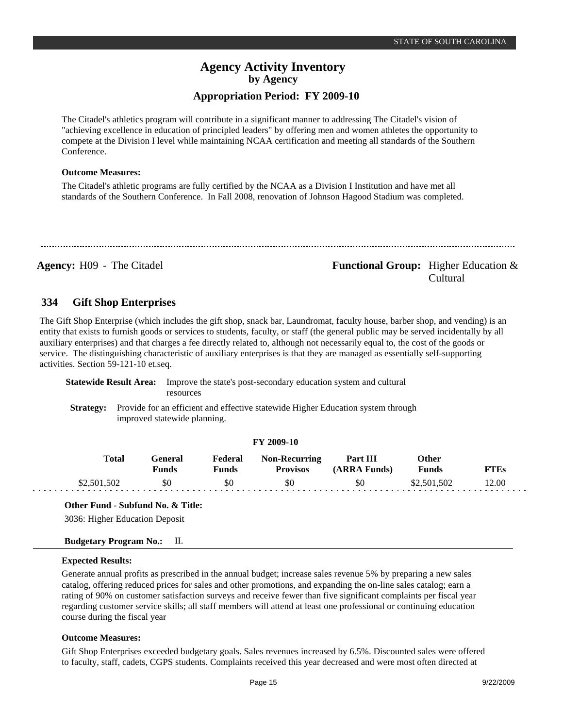The Citadel's athletics program will contribute in a significant manner to addressing The Citadel's vision of "achieving excellence in education of principled leaders" by offering men and women athletes the opportunity to compete at the Division I level while maintaining NCAA certification and meeting all standards of the Southern Conference.

### **Outcome Measures:**

The Citadel's athletic programs are fully certified by the NCAA as a Division I Institution and have met all standards of the Southern Conference. In Fall 2008, renovation of Johnson Hagood Stadium was completed.

**Agency:** H09 - The Citadel **Functional Group:** Higher Education & Cultural

#### **Gift Shop Enterprises 334**

The Gift Shop Enterprise (which includes the gift shop, snack bar, Laundromat, faculty house, barber shop, and vending) is an entity that exists to furnish goods or services to students, faculty, or staff (the general public may be served incidentally by all auxiliary enterprises) and that charges a fee directly related to, although not necessarily equal to, the cost of the goods or service. The distinguishing characteristic of auxiliary enterprises is that they are managed as essentially self-supporting activities. Section 59-121-10 et.seq.

**Statewide Result Area:** Improve the state's post-secondary education system and cultural resources

**Strategy:** Provide for an efficient and effective statewide Higher Education system through improved statewide planning.

### **FY 2009-10**

| <b>Funds</b>       | <b>Funds</b> | <b>Provisos</b> | (ARRA Funds) | <b>Funds</b> | FTEs  |
|--------------------|--------------|-----------------|--------------|--------------|-------|
| \$2,501,502<br>\$0 | \$0          | \$0             | \$0          | \$2,501,502  | 12.00 |

#### **Other Fund - Subfund No. & Title:**

3036: Higher Education Deposit

## **Budgetary Program No.:** II.

### **Expected Results:**

Generate annual profits as prescribed in the annual budget; increase sales revenue 5% by preparing a new sales catalog, offering reduced prices for sales and other promotions, and expanding the on-line sales catalog; earn a rating of 90% on customer satisfaction surveys and receive fewer than five significant complaints per fiscal year regarding customer service skills; all staff members will attend at least one professional or continuing education course during the fiscal year

### **Outcome Measures:**

Gift Shop Enterprises exceeded budgetary goals. Sales revenues increased by 6.5%. Discounted sales were offered to faculty, staff, cadets, CGPS students. Complaints received this year decreased and were most often directed at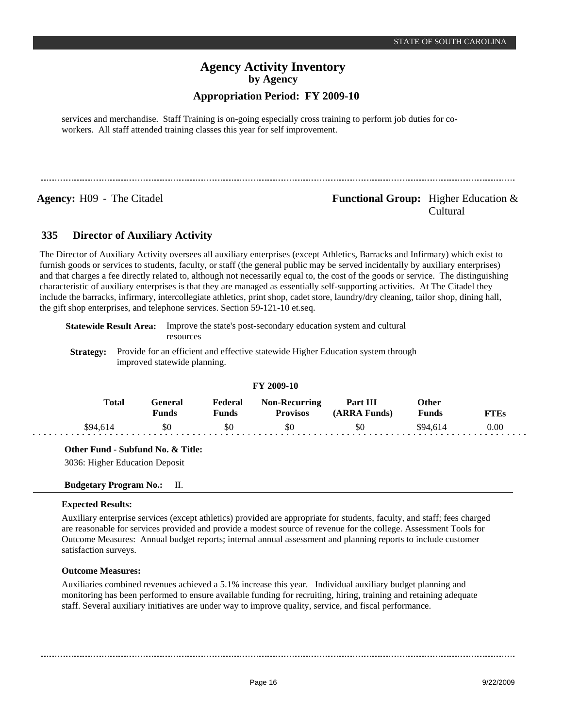## **Appropriation Period: FY 2009-10**

services and merchandise. Staff Training is on-going especially cross training to perform job duties for coworkers. All staff attended training classes this year for self improvement.

## **Agency:** H09 - The Citadel **Functional Group:** Higher Education & Cultural

#### **Director of Auxiliary Activity 335**

The Director of Auxiliary Activity oversees all auxiliary enterprises (except Athletics, Barracks and Infirmary) which exist to furnish goods or services to students, faculty, or staff (the general public may be served incidentally by auxiliary enterprises) and that charges a fee directly related to, although not necessarily equal to, the cost of the goods or service. The distinguishing characteristic of auxiliary enterprises is that they are managed as essentially self-supporting activities. At The Citadel they include the barracks, infirmary, intercollegiate athletics, print shop, cadet store, laundry/dry cleaning, tailor shop, dining hall, the gift shop enterprises, and telephone services. Section 59-121-10 et.seq.

| Statewide Result Area: | Improve the state's post-secondary education system and cultural<br>resources                                                     |
|------------------------|-----------------------------------------------------------------------------------------------------------------------------------|
|                        | <b>Strategy:</b> Provide for an efficient and effective statewide Higher Education system through<br>improved statewide planning. |

### **FY 2009-10**

| Total    | General !<br>Funds | Federal<br>Funds | <b>Non-Recurring</b><br><b>Provisos</b> | <b>Part III</b><br>(ARRA Funds) | Other<br><b>Funds</b> | FTEs |
|----------|--------------------|------------------|-----------------------------------------|---------------------------------|-----------------------|------|
| \$94.614 | \$0                | \$0              | \$0                                     | \$0                             | \$94.614              | 0.00 |

**Other Fund - Subfund No. & Title:**

3036: Higher Education Deposit

### **Budgetary Program No.:** II.

## **Expected Results:**

Auxiliary enterprise services (except athletics) provided are appropriate for students, faculty, and staff; fees charged are reasonable for services provided and provide a modest source of revenue for the college. Assessment Tools for Outcome Measures: Annual budget reports; internal annual assessment and planning reports to include customer satisfaction surveys.

## **Outcome Measures:**

Auxiliaries combined revenues achieved a 5.1% increase this year. Individual auxiliary budget planning and monitoring has been performed to ensure available funding for recruiting, hiring, training and retaining adequate staff. Several auxiliary initiatives are under way to improve quality, service, and fiscal performance.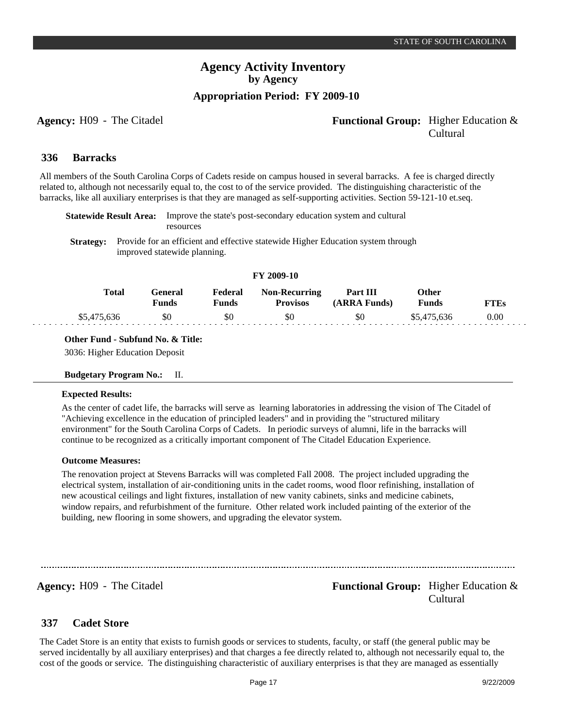## **Agency:** H09 - The Citadel **Functional Group:** Higher Education & Cultural

#### **Barracks 336**

All members of the South Carolina Corps of Cadets reside on campus housed in several barracks. A fee is charged directly related to, although not necessarily equal to, the cost to of the service provided. The distinguishing characteristic of the barracks, like all auxiliary enterprises is that they are managed as self-supporting activities. Section 59-121-10 et.seq.

| <b>Statewide Result Area:</b> Improve the state's post-secondary education system and cultural |
|------------------------------------------------------------------------------------------------|
| resources                                                                                      |

**Strategy:** Provide for an efficient and effective statewide Higher Education system through improved statewide planning.

|             | FY 2009-10       |                  |                                         |                          |                |             |  |  |  |  |
|-------------|------------------|------------------|-----------------------------------------|--------------------------|----------------|-------------|--|--|--|--|
| Total       | General<br>Funds | Federal<br>Funds | <b>Non-Recurring</b><br><b>Provisos</b> | Part III<br>(ARRA Funds) | Other<br>Funds | <b>FTEs</b> |  |  |  |  |
| \$5,475,636 | \$0              | \$0              | \$0                                     | \$0                      | \$5,475,636    | 0.00        |  |  |  |  |

**Other Fund - Subfund No. & Title:**

3036: Higher Education Deposit

#### **Budgetary Program No.:** II.

### **Expected Results:**

As the center of cadet life, the barracks will serve as learning laboratories in addressing the vision of The Citadel of "Achieving excellence in the education of principled leaders" and in providing the "structured military environment" for the South Carolina Corps of Cadets. In periodic surveys of alumni, life in the barracks will continue to be recognized as a critically important component of The Citadel Education Experience.

## **Outcome Measures:**

The renovation project at Stevens Barracks will was completed Fall 2008. The project included upgrading the electrical system, installation of air-conditioning units in the cadet rooms, wood floor refinishing, installation of new acoustical ceilings and light fixtures, installation of new vanity cabinets, sinks and medicine cabinets, window repairs, and refurbishment of the furniture. Other related work included painting of the exterior of the building, new flooring in some showers, and upgrading the elevator system.

## **Agency:** H09 - The Citadel **Functional Group:** Higher Education & Cultural

#### **Cadet Store 337**

The Cadet Store is an entity that exists to furnish goods or services to students, faculty, or staff (the general public may be served incidentally by all auxiliary enterprises) and that charges a fee directly related to, although not necessarily equal to, the cost of the goods or service. The distinguishing characteristic of auxiliary enterprises is that they are managed as essentially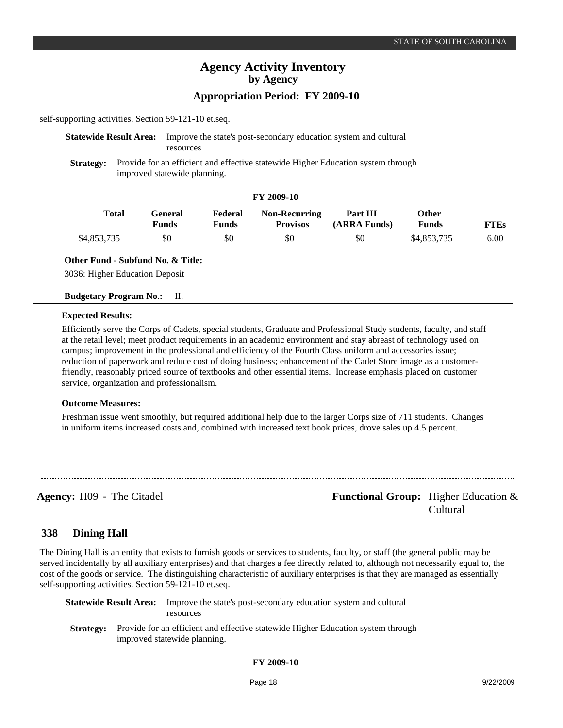self-supporting activities. Section 59-121-10 et.seq.

## **Statewide Result Area:** Improve the state's post-secondary education system and cultural resources

**Strategy:** Provide for an efficient and effective statewide Higher Education system through improved statewide planning.

## **FY 2009-10**

| Total       | General<br>Funds | Federal<br>Funds | <b>Non-Recurring</b><br><b>Provisos</b> | Part III<br>(ARRA Funds) | <b>Other</b><br>Funds | <b>FTEs</b> |
|-------------|------------------|------------------|-----------------------------------------|--------------------------|-----------------------|-------------|
| \$4,853,735 | \$0              | \$0              | \$0                                     | \$0                      | \$4,853,735           | 6.00        |

## **Other Fund - Subfund No. & Title:**

3036: Higher Education Deposit

## **Budgetary Program No.:** II.

## **Expected Results:**

Efficiently serve the Corps of Cadets, special students, Graduate and Professional Study students, faculty, and staff at the retail level; meet product requirements in an academic environment and stay abreast of technology used on campus; improvement in the professional and efficiency of the Fourth Class uniform and accessories issue; reduction of paperwork and reduce cost of doing business; enhancement of the Cadet Store image as a customerfriendly, reasonably priced source of textbooks and other essential items. Increase emphasis placed on customer service, organization and professionalism.

### **Outcome Measures:**

Freshman issue went smoothly, but required additional help due to the larger Corps size of 711 students. Changes in uniform items increased costs and, combined with increased text book prices, drove sales up 4.5 percent.

**Agency:** H09 - The Citadel **Functional Group:** Higher Education & Cultural

#### **Dining Hall 338**

The Dining Hall is an entity that exists to furnish goods or services to students, faculty, or staff (the general public may be served incidentally by all auxiliary enterprises) and that charges a fee directly related to, although not necessarily equal to, the cost of the goods or service. The distinguishing characteristic of auxiliary enterprises is that they are managed as essentially self-supporting activities. Section 59-121-10 et.seq.

| <b>Statewide Result Area:</b> Improve the state's post-secondary education system and cultural |
|------------------------------------------------------------------------------------------------|
| resources                                                                                      |

**Strategy:** Provide for an efficient and effective statewide Higher Education system through improved statewide planning.

### **FY 2009-10**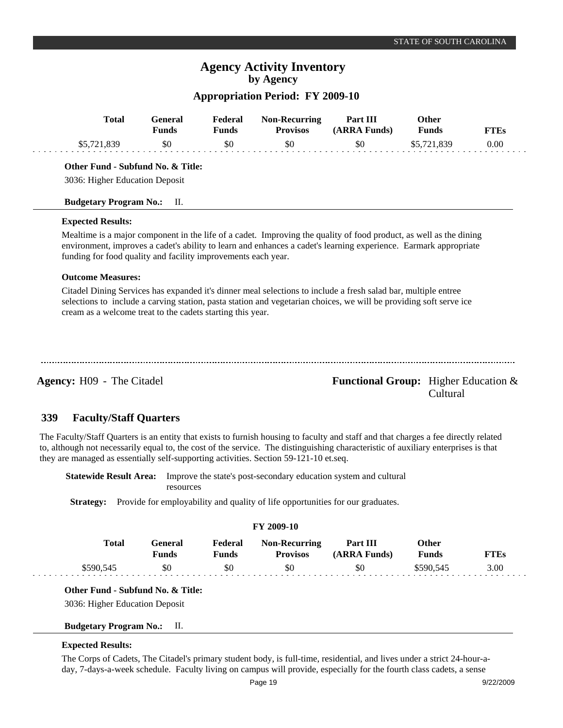## **Appropriation Period: FY 2009-10**

|     | <b>Total</b>                     | <b>General</b><br><b>Funds</b>                                | Federal<br><b>Funds</b> | <b>Non-Recurring</b><br><b>Provisos</b>                                                                                                                                                                                                | Part III<br>(ARRA Funds)                       | <b>Other</b><br><b>Funds</b> | <b>FTEs</b> |
|-----|----------------------------------|---------------------------------------------------------------|-------------------------|----------------------------------------------------------------------------------------------------------------------------------------------------------------------------------------------------------------------------------------|------------------------------------------------|------------------------------|-------------|
|     | \$5,721,839                      | \$0                                                           | \$0                     | \$0                                                                                                                                                                                                                                    | \$0                                            | \$5,721,839                  | 0.00        |
|     |                                  | Other Fund - Subfund No. & Title:                             |                         |                                                                                                                                                                                                                                        |                                                |                              |             |
|     | 3036: Higher Education Deposit   |                                                               |                         |                                                                                                                                                                                                                                        |                                                |                              |             |
|     | <b>Budgetary Program No.:</b>    | П.                                                            |                         |                                                                                                                                                                                                                                        |                                                |                              |             |
|     | <b>Expected Results:</b>         |                                                               |                         |                                                                                                                                                                                                                                        |                                                |                              |             |
|     |                                  | funding for food quality and facility improvements each year. |                         | Mealtime is a major component in the life of a cadet. Improving the quality of food product, as well as the dining<br>environment, improves a cadet's ability to learn and enhances a cadet's learning experience. Earmark appropriate |                                                |                              |             |
|     | <b>Outcome Measures:</b>         |                                                               |                         |                                                                                                                                                                                                                                        |                                                |                              |             |
|     |                                  | cream as a welcome treat to the cadets starting this year.    |                         | Citadel Dining Services has expanded it's dinner meal selections to include a fresh salad bar, multiple entree<br>selections to include a carving station, pasta station and vegetarian choices, we will be providing soft serve ice   |                                                |                              |             |
|     | <b>Agency:</b> H09 - The Citadel |                                                               |                         |                                                                                                                                                                                                                                        | <b>Functional Group:</b> Higher Education $\&$ | Cultural                     |             |
| 339 | <b>Faculty/Staff Quarters</b>    |                                                               |                         |                                                                                                                                                                                                                                        |                                                |                              |             |

The Faculty/Staff Quarters is an entity that exists to furnish housing to faculty and staff and that charges a fee directly related to, although not necessarily equal to, the cost of the service. The distinguishing characteristic of auxiliary enterprises is that they are managed as essentially self-supporting activities. Section 59-121-10 et.seq.

**Statewide Result Area:** Improve the state's post-secondary education system and cultural resources

**Strategy:** Provide for employability and quality of life opportunities for our graduates.

| <b>FY 2009-10</b> |                         |                         |                                         |                          |                              |             |  |
|-------------------|-------------------------|-------------------------|-----------------------------------------|--------------------------|------------------------------|-------------|--|
| Total             | General<br><b>Funds</b> | Federal<br><b>Funds</b> | <b>Non-Recurring</b><br><b>Provisos</b> | Part III<br>(ARRA Funds) | <b>Other</b><br><b>Funds</b> | <b>FTEs</b> |  |
| \$590,545         | \$0                     | \$0                     | \$0                                     | \$0                      | \$590.545                    | 3.00        |  |

**Other Fund - Subfund No. & Title:**

3036: Higher Education Deposit

**Budgetary Program No.:** II.

### **Expected Results:**

 $\ddot{\phantom{0}}$ 

The Corps of Cadets, The Citadel's primary student body, is full-time, residential, and lives under a strict 24-hour-aday, 7-days-a-week schedule. Faculty living on campus will provide, especially for the fourth class cadets, a sense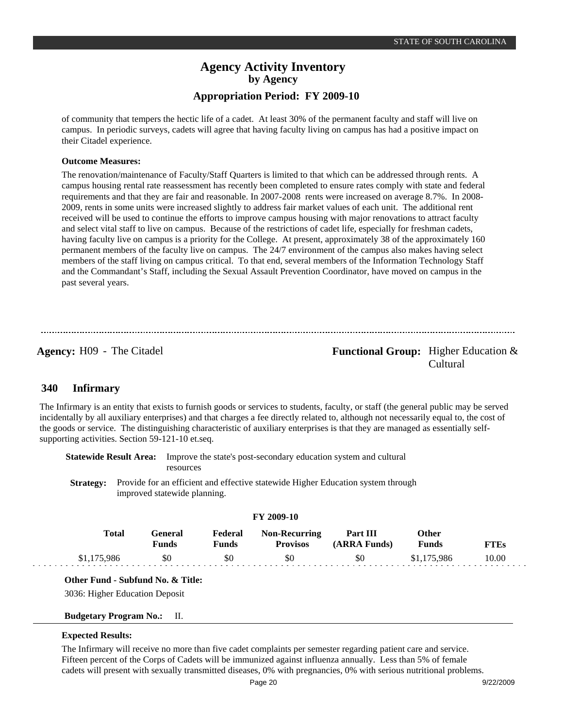of community that tempers the hectic life of a cadet. At least 30% of the permanent faculty and staff will live on campus. In periodic surveys, cadets will agree that having faculty living on campus has had a positive impact on their Citadel experience.

## **Outcome Measures:**

The renovation/maintenance of Faculty/Staff Quarters is limited to that which can be addressed through rents. A campus housing rental rate reassessment has recently been completed to ensure rates comply with state and federal requirements and that they are fair and reasonable. In 2007-2008 rents were increased on average 8.7%. In 2008- 2009, rents in some units were increased slightly to address fair market values of each unit. The additional rent received will be used to continue the efforts to improve campus housing with major renovations to attract faculty and select vital staff to live on campus. Because of the restrictions of cadet life, especially for freshman cadets, having faculty live on campus is a priority for the College. At present, approximately 38 of the approximately 160 permanent members of the faculty live on campus. The 24/7 environment of the campus also makes having select members of the staff living on campus critical. To that end, several members of the Information Technology Staff and the Commandant's Staff, including the Sexual Assault Prevention Coordinator, have moved on campus in the past several years.

**Agency:** H09 - The Citadel **Functional Group:** Higher Education & Cultural

#### **Infirmary 340**

The Infirmary is an entity that exists to furnish goods or services to students, faculty, or staff (the general public may be served incidentally by all auxiliary enterprises) and that charges a fee directly related to, although not necessarily equal to, the cost of the goods or service. The distinguishing characteristic of auxiliary enterprises is that they are managed as essentially selfsupporting activities. Section 59-121-10 et.seq.

**Statewide Result Area:** Improve the state's post-secondary education system and cultural resources

**Strategy:** Provide for an efficient and effective statewide Higher Education system through improved statewide planning.

|             |                                |                  | FY 2009-10                              |                          |                       |             |  |
|-------------|--------------------------------|------------------|-----------------------------------------|--------------------------|-----------------------|-------------|--|
| Total       | <b>General</b><br><b>Funds</b> | Federal<br>Funds | <b>Non-Recurring</b><br><b>Provisos</b> | Part III<br>(ARRA Funds) | Other<br><b>Funds</b> | <b>FTEs</b> |  |
| \$1,175,986 | \$0                            | -\$0             | \$0                                     | \$0                      | \$1.175.986           | 10.00       |  |

**FY 2009-10**

### **Other Fund - Subfund No. & Title:**

3036: Higher Education Deposit

### **Budgetary Program No.:** II.

## **Expected Results:**

The Infirmary will receive no more than five cadet complaints per semester regarding patient care and service. Fifteen percent of the Corps of Cadets will be immunized against influenza annually. Less than 5% of female cadets will present with sexually transmitted diseases, 0% with pregnancies, 0% with serious nutritional problems.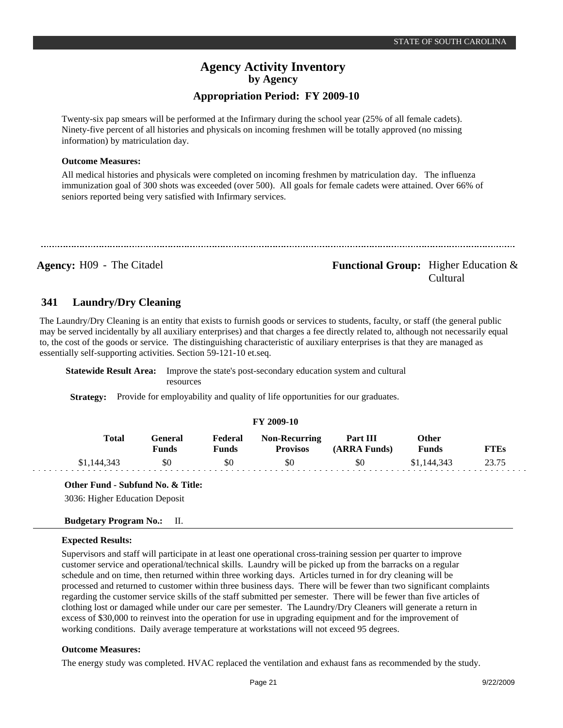## **Appropriation Period: FY 2009-10**

Twenty-six pap smears will be performed at the Infirmary during the school year (25% of all female cadets). Ninety-five percent of all histories and physicals on incoming freshmen will be totally approved (no missing information) by matriculation day.

## **Outcome Measures:**

All medical histories and physicals were completed on incoming freshmen by matriculation day. The influenza immunization goal of 300 shots was exceeded (over 500). All goals for female cadets were attained. Over 66% of seniors reported being very satisfied with Infirmary services.

**Agency:** H09 - The Citadel **Functional Group:** Higher Education & Cultural

#### **Laundry/Dry Cleaning 341**

The Laundry/Dry Cleaning is an entity that exists to furnish goods or services to students, faculty, or staff (the general public may be served incidentally by all auxiliary enterprises) and that charges a fee directly related to, although not necessarily equal to, the cost of the goods or service. The distinguishing characteristic of auxiliary enterprises is that they are managed as essentially self-supporting activities. Section 59-121-10 et.seq.

## **Statewide Result Area:** Improve the state's post-secondary education system and cultural resources

**Strategy:** Provide for employability and quality of life opportunities for our graduates.

| FY 2009-10   |                                |                         |                                         |                          |                       |             |  |
|--------------|--------------------------------|-------------------------|-----------------------------------------|--------------------------|-----------------------|-------------|--|
| <b>Total</b> | <b>General</b><br><b>Funds</b> | Federal<br><b>Funds</b> | <b>Non-Recurring</b><br><b>Provisos</b> | Part III<br>(ARRA Funds) | Other<br><b>Funds</b> | <b>FTEs</b> |  |
| \$1,144,343  | \$0                            | \$0                     | \$0                                     | \$0                      | \$1,144,343           | 23.75       |  |

## **Other Fund - Subfund No. & Title:**

3036: Higher Education Deposit

## **Budgetary Program No.:** II.

### **Expected Results:**

Supervisors and staff will participate in at least one operational cross-training session per quarter to improve customer service and operational/technical skills. Laundry will be picked up from the barracks on a regular schedule and on time, then returned within three working days. Articles turned in for dry cleaning will be processed and returned to customer within three business days. There will be fewer than two significant complaints regarding the customer service skills of the staff submitted per semester. There will be fewer than five articles of clothing lost or damaged while under our care per semester. The Laundry/Dry Cleaners will generate a return in excess of \$30,000 to reinvest into the operation for use in upgrading equipment and for the improvement of working conditions. Daily average temperature at workstations will not exceed 95 degrees.

## **Outcome Measures:**

The energy study was completed. HVAC replaced the ventilation and exhaust fans as recommended by the study.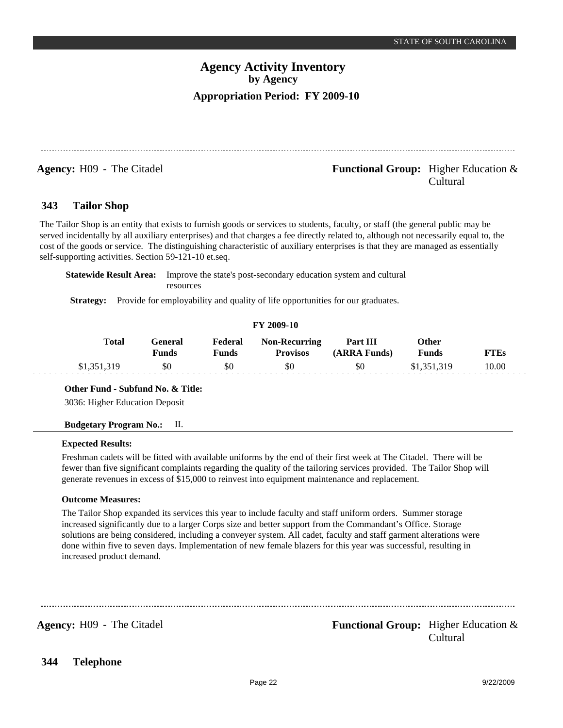## **Agency:** H09 - The Citadel **Functional Group:** Higher Education & Cultural

#### **Tailor Shop 343**

The Tailor Shop is an entity that exists to furnish goods or services to students, faculty, or staff (the general public may be served incidentally by all auxiliary enterprises) and that charges a fee directly related to, although not necessarily equal to, the cost of the goods or service. The distinguishing characteristic of auxiliary enterprises is that they are managed as essentially self-supporting activities. Section 59-121-10 et.seq.

**Statewide Result Area:** Improve the state's post-secondary education system and cultural resources

**Strategy:** Provide for employability and quality of life opportunities for our graduates.

|             | <b>FY 2009-10</b> |                  |                                         |                          |                       |             |  |
|-------------|-------------------|------------------|-----------------------------------------|--------------------------|-----------------------|-------------|--|
| Total       | General<br>Funds  | Federal<br>Funds | <b>Non-Recurring</b><br><b>Provisos</b> | Part III<br>(ARRA Funds) | Other<br><b>Funds</b> | <b>FTEs</b> |  |
| \$1,351,319 | \$0               | \$0              | \$0                                     | \$0                      | \$1,351,319           | 10.00       |  |

## **Other Fund - Subfund No. & Title:**

3036: Higher Education Deposit

## **Budgetary Program No.:** II.

## **Expected Results:**

Freshman cadets will be fitted with available uniforms by the end of their first week at The Citadel. There will be fewer than five significant complaints regarding the quality of the tailoring services provided. The Tailor Shop will generate revenues in excess of \$15,000 to reinvest into equipment maintenance and replacement.

## **Outcome Measures:**

The Tailor Shop expanded its services this year to include faculty and staff uniform orders. Summer storage increased significantly due to a larger Corps size and better support from the Commandant's Office. Storage solutions are being considered, including a conveyer system. All cadet, faculty and staff garment alterations were done within five to seven days. Implementation of new female blazers for this year was successful, resulting in increased product demand.

**Agency:** H09 - The Citadel **Functional Group:** Higher Education & Cultural

#### **Telephone 344**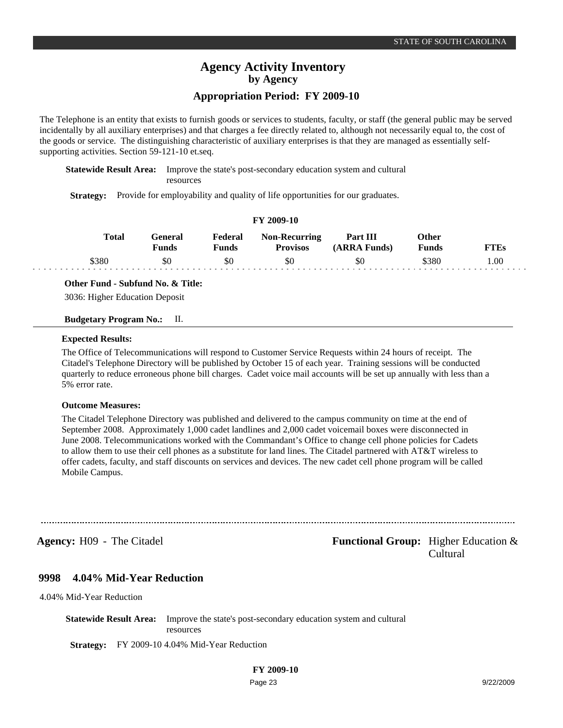## **Appropriation Period: FY 2009-10**

The Telephone is an entity that exists to furnish goods or services to students, faculty, or staff (the general public may be served incidentally by all auxiliary enterprises) and that charges a fee directly related to, although not necessarily equal to, the cost of the goods or service. The distinguishing characteristic of auxiliary enterprises is that they are managed as essentially selfsupporting activities. Section 59-121-10 et.seq.

**Statewide Result Area:** Improve the state's post-secondary education system and cultural resources

**Strategy:** Provide for employability and quality of life opportunities for our graduates.

## **FY 2009-10**

|       | <b>Total</b><br>Feneral<br><b>Funds</b> | Federal<br>Funds | <b>Non-Recurring</b><br><b>Provisos</b> | Part III<br>(ARRA Funds) | Other<br>$F$ unds | FTEs |
|-------|-----------------------------------------|------------------|-----------------------------------------|--------------------------|-------------------|------|
| \$380 | \$0                                     | 30               | \$0                                     | \$0                      | \$380             | 00.1 |

**Other Fund - Subfund No. & Title:**

3036: Higher Education Deposit

## **Budgetary Program No.:** II.

## **Expected Results:**

The Office of Telecommunications will respond to Customer Service Requests within 24 hours of receipt. The Citadel's Telephone Directory will be published by October 15 of each year. Training sessions will be conducted quarterly to reduce erroneous phone bill charges. Cadet voice mail accounts will be set up annually with less than a 5% error rate.

## **Outcome Measures:**

The Citadel Telephone Directory was published and delivered to the campus community on time at the end of September 2008. Approximately 1,000 cadet landlines and 2,000 cadet voicemail boxes were disconnected in June 2008. Telecommunications worked with the Commandant's Office to change cell phone policies for Cadets to allow them to use their cell phones as a substitute for land lines. The Citadel partnered with AT&T wireless to offer cadets, faculty, and staff discounts on services and devices. The new cadet cell phone program will be called Mobile Campus.

**Agency:** H09 - The Citadel **Functional Group:** Higher Education &

#### **4.04% Mid-Year Reduction 9998**

4.04% Mid-Year Reduction

**Statewide Result Area:** Improve the state's post-secondary education system and cultural resources

**Strategy:** FY 2009-10 4.04% Mid-Year Reduction

Cultural